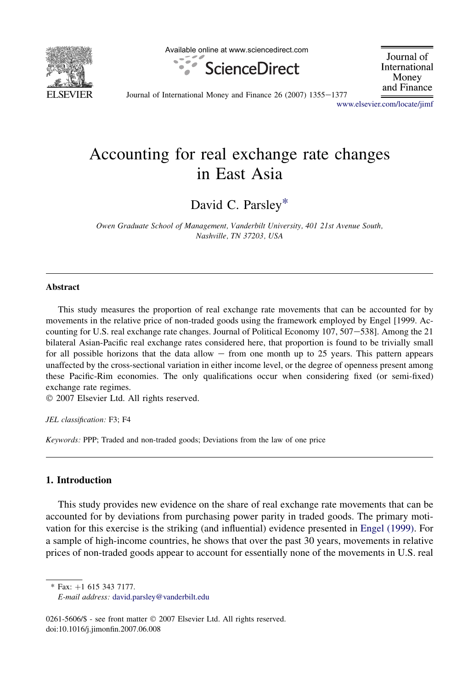

Available online at www.sciencedirect.com



Journal of International Money and Finance

Journal of International Money and Finance  $26$  (2007)  $1355-1377$ 

[www.elsevier.com/locate/jimf](http://www.elsevier.com/locate/jimf)

## Accounting for real exchange rate changes in East Asia

David C. Parsley\*

Owen Graduate School of Management, Vanderbilt University, 401 21st Avenue South, Nashville, TN 37203, USA

## Abstract

This study measures the proportion of real exchange rate movements that can be accounted for by movements in the relative price of non-traded goods using the framework employed by Engel [1999. Accounting for U.S. real exchange rate changes. Journal of Political Economy 107, 507-538]. Among the 21 bilateral Asian-Pacific real exchange rates considered here, that proportion is found to be trivially small for all possible horizons that the data allow  $-$  from one month up to 25 years. This pattern appears unaffected by the cross-sectional variation in either income level, or the degree of openness present among these Pacific-Rim economies. The only qualifications occur when considering fixed (or semi-fixed) exchange rate regimes.

 $© 2007 Elsevier Ltd. All rights reserved.$ 

JEL classification: F3; F4

Keywords: PPP; Traded and non-traded goods; Deviations from the law of one price

## 1. Introduction

This study provides new evidence on the share of real exchange rate movements that can be accounted for by deviations from purchasing power parity in traded goods. The primary motivation for this exercise is the striking (and influential) evidence presented in [Engel \(1999\).](#page--1-0) For a sample of high-income countries, he shows that over the past 30 years, movements in relative prices of non-traded goods appear to account for essentially none of the movements in U.S. real

 $*$  Fax:  $+1$  615 343 7177.

0261-5606/\$ - see front matter © 2007 Elsevier Ltd. All rights reserved. doi:10.1016/j.jimonfin.2007.06.008

E-mail address: [david.parsley@vanderbilt.edu](mailto:david.parsley@vanderbilt.edu)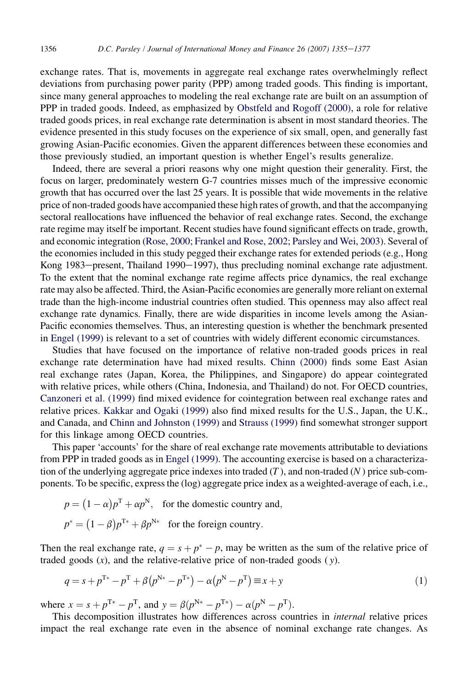exchange rates. That is, movements in aggregate real exchange rates overwhelmingly reflect deviations from purchasing power parity (PPP) among traded goods. This finding is important, since many general approaches to modeling the real exchange rate are built on an assumption of PPP in traded goods. Indeed, as emphasized by [Obstfeld and Rogoff \(2000\),](#page--1-0) a role for relative traded goods prices, in real exchange rate determination is absent in most standard theories. The evidence presented in this study focuses on the experience of six small, open, and generally fast growing Asian-Pacific economies. Given the apparent differences between these economies and those previously studied, an important question is whether Engel's results generalize.

Indeed, there are several a priori reasons why one might question their generality. First, the focus on larger, predominately western G-7 countries misses much of the impressive economic growth that has occurred over the last 25 years. It is possible that wide movements in the relative price of non-traded goods have accompanied these high rates of growth, and that the accompanying sectoral reallocations have influenced the behavior of real exchange rates. Second, the exchange rate regime may itself be important. Recent studies have found significant effects on trade, growth, and economic integration [\(Rose, 2000; Frankel and Rose, 2002; Parsley and Wei, 2003](#page--1-0)). Several of the economies included in this study pegged their exchange rates for extended periods (e.g., Hong Kong 1983 $-$ present, Thailand 1990 $-1997$ ), thus precluding nominal exchange rate adjustment. To the extent that the nominal exchange rate regime affects price dynamics, the real exchange rate may also be affected. Third, the Asian-Pacific economies are generally more reliant on external trade than the high-income industrial countries often studied. This openness may also affect real exchange rate dynamics. Finally, there are wide disparities in income levels among the Asian-Pacific economies themselves. Thus, an interesting question is whether the benchmark presented in [Engel \(1999\)](#page--1-0) is relevant to a set of countries with widely different economic circumstances.

Studies that have focused on the importance of relative non-traded goods prices in real exchange rate determination have had mixed results. [Chinn \(2000\)](#page--1-0) finds some East Asian real exchange rates (Japan, Korea, the Philippines, and Singapore) do appear cointegrated with relative prices, while others (China, Indonesia, and Thailand) do not. For OECD countries, [Canzoneri et al. \(1999\)](#page--1-0) find mixed evidence for cointegration between real exchange rates and relative prices. [Kakkar and Ogaki \(1999\)](#page--1-0) also find mixed results for the U.S., Japan, the U.K., and Canada, and [Chinn and Johnston \(1999\)](#page--1-0) and [Strauss \(1999\)](#page--1-0) find somewhat stronger support for this linkage among OECD countries.

This paper 'accounts' for the share of real exchange rate movements attributable to deviations from PPP in traded goods as in [Engel \(1999\)](#page--1-0). The accounting exercise is based on a characterization of the underlying aggregate price indexes into traded  $(T)$ , and non-traded  $(N)$  price sub-components. To be specific, express the (log) aggregate price index as a weighted-average of each, i.e.,

$$
p = (1 - \alpha)p^{T} + \alpha p^{N},
$$
 for the domestic country and,  

$$
p^* = (1 - \beta)p^{T*} + \beta p^{N*}
$$
 for the foreign country.

Then the real exchange rate,  $q = s + p^* - p$ , may be written as the sum of the relative price of traded goods  $(x)$ , and the relative-relative price of non-traded goods  $(y)$ .

$$
q = s + p^{T*} - p^{T} + \beta (p^{N*} - p^{T*}) - \alpha (p^{N} - p^{T}) \equiv x + y \tag{1}
$$

where  $x = s + p^{T*} - p^{T}$ , and  $y = \beta(p^{N*} - p^{T*}) - \alpha(p^{N} - p^{T})$ .

This decomposition illustrates how differences across countries in internal relative prices impact the real exchange rate even in the absence of nominal exchange rate changes. As